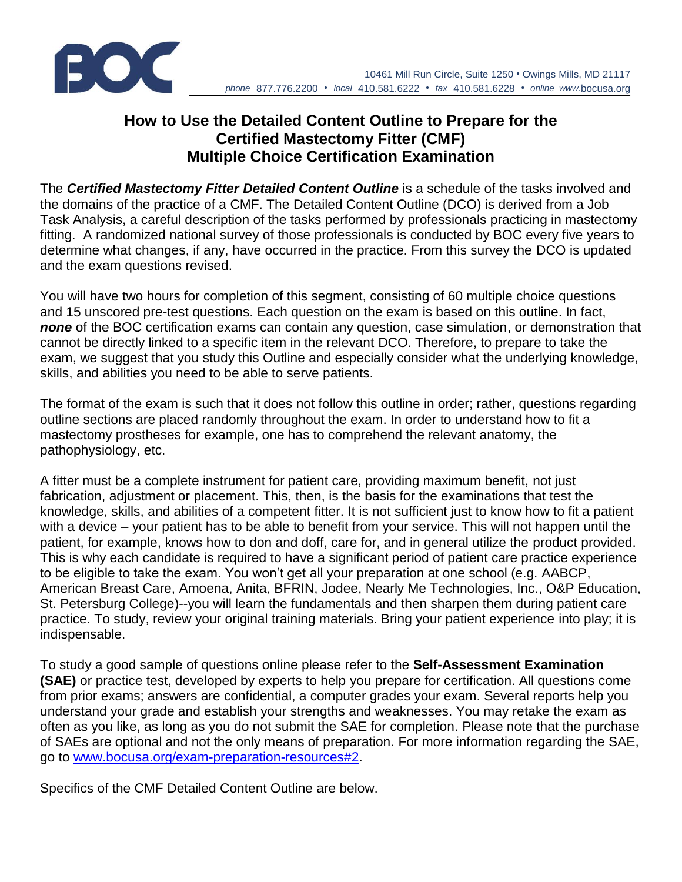

# **How to Use the Detailed Content Outline to Prepare for the Certified Mastectomy Fitter (CMF) Multiple Choice Certification Examination**

The *Certified Mastectomy Fitter Detailed Content Outline* is a schedule of the tasks involved and the domains of the practice of a CMF. The Detailed Content Outline (DCO) is derived from a Job Task Analysis, a careful description of the tasks performed by professionals practicing in mastectomy fitting. A randomized national survey of those professionals is conducted by BOC every five years to determine what changes, if any, have occurred in the practice. From this survey the DCO is updated and the exam questions revised.

You will have two hours for completion of this segment, consisting of 60 multiple choice questions and 15 unscored pre-test questions. Each question on the exam is based on this outline. In fact, *none* of the BOC certification exams can contain any question, case simulation, or demonstration that cannot be directly linked to a specific item in the relevant DCO. Therefore, to prepare to take the exam, we suggest that you study this Outline and especially consider what the underlying knowledge, skills, and abilities you need to be able to serve patients.

The format of the exam is such that it does not follow this outline in order; rather, questions regarding outline sections are placed randomly throughout the exam. In order to understand how to fit a mastectomy prostheses for example, one has to comprehend the relevant anatomy, the pathophysiology, etc.

A fitter must be a complete instrument for patient care, providing maximum benefit, not just fabrication, adjustment or placement. This, then, is the basis for the examinations that test the knowledge, skills, and abilities of a competent fitter. It is not sufficient just to know how to fit a patient with a device – your patient has to be able to benefit from your service. This will not happen until the patient, for example, knows how to don and doff, care for, and in general utilize the product provided. This is why each candidate is required to have a significant period of patient care practice experience to be eligible to take the exam. You won't get all your preparation at one school (e.g. AABCP, American Breast Care, Amoena, Anita, BFRIN, Jodee, Nearly Me Technologies, Inc., O&P Education, St. Petersburg College)--you will learn the fundamentals and then sharpen them during patient care practice. To study, review your original training materials. Bring your patient experience into play; it is indispensable.

To study a good sample of questions online please refer to the **Self-Assessment Examination (SAE)** or practice test, developed by experts to help you prepare for certification. All questions come from prior exams; answers are confidential, a computer grades your exam. Several reports help you understand your grade and establish your strengths and weaknesses. You may retake the exam as often as you like, as long as you do not submit the SAE for completion. Please note that the purchase of SAEs are optional and not the only means of preparation. For more information regarding the SAE, go to [www.bocusa.org/exam-preparation-resources#2.](http://www.bocusa.org/exam-preparation-resources#2)

Specifics of the CMF Detailed Content Outline are below.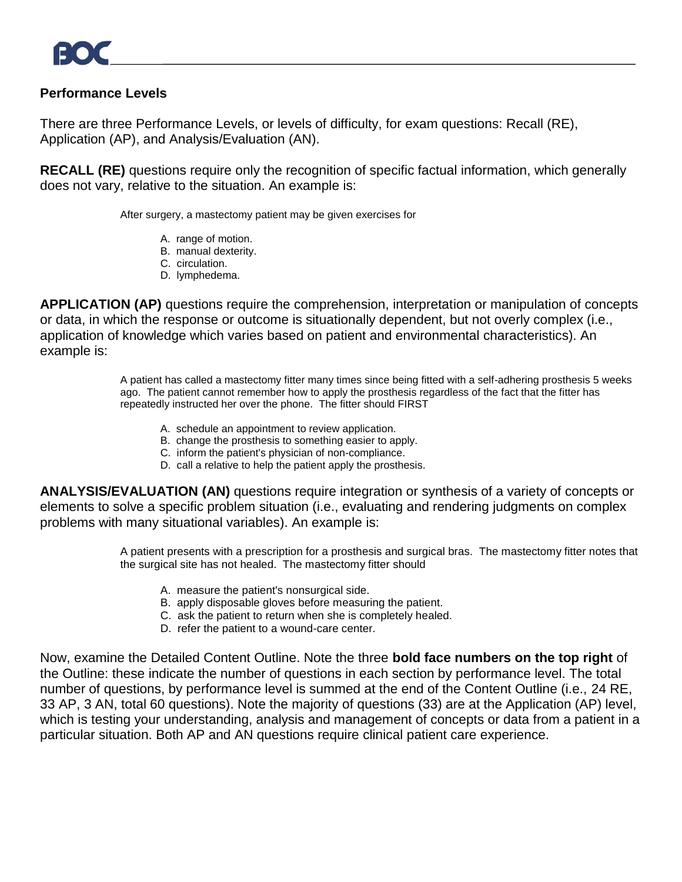### **Performance Levels**

There are three Performance Levels, or levels of difficulty, for exam questions: Recall (RE), Application (AP), and Analysis/Evaluation (AN).

**RECALL (RE)** questions require only the recognition of specific factual information, which generally does not vary, relative to the situation. An example is:

After surgery, a mastectomy patient may be given exercises for

- A. range of motion.
- B. manual dexterity.
- C. circulation.
- D. lymphedema.

**APPLICATION (AP)** questions require the comprehension, interpretation or manipulation of concepts or data, in which the response or outcome is situationally dependent, but not overly complex (i.e., application of knowledge which varies based on patient and environmental characteristics). An example is:

> A patient has called a mastectomy fitter many times since being fitted with a self-adhering prosthesis 5 weeks ago. The patient cannot remember how to apply the prosthesis regardless of the fact that the fitter has repeatedly instructed her over the phone. The fitter should FIRST

- A. schedule an appointment to review application.
- B. change the prosthesis to something easier to apply.
- C. inform the patient's physician of non-compliance.
- D. call a relative to help the patient apply the prosthesis.

**ANALYSIS/EVALUATION (AN)** questions require integration or synthesis of a variety of concepts or elements to solve a specific problem situation (i.e., evaluating and rendering judgments on complex problems with many situational variables). An example is:

> A patient presents with a prescription for a prosthesis and surgical bras. The mastectomy fitter notes that the surgical site has not healed. The mastectomy fitter should

- A. measure the patient's nonsurgical side.
- B. apply disposable gloves before measuring the patient.
- C. ask the patient to return when she is completely healed.
- D. refer the patient to a wound-care center.

Now, examine the Detailed Content Outline. Note the three **bold face numbers on the top right** of the Outline: these indicate the number of questions in each section by performance level. The total number of questions, by performance level is summed at the end of the Content Outline (i.e., 24 RE, 33 AP, 3 AN, total 60 questions). Note the majority of questions (33) are at the Application (AP) level, which is testing your understanding, analysis and management of concepts or data from a patient in a particular situation. Both AP and AN questions require clinical patient care experience.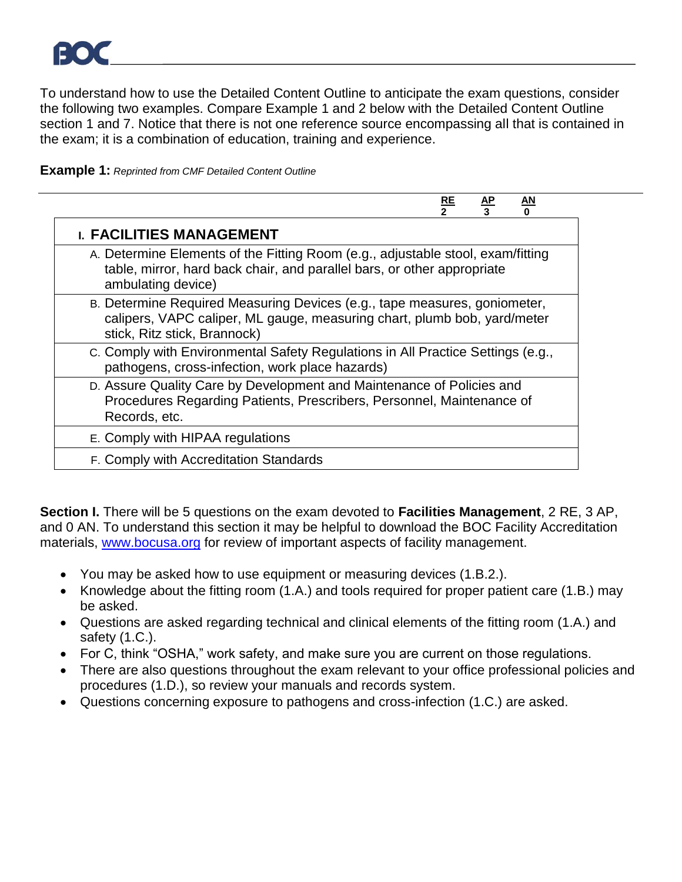To understand how to use the Detailed Content Outline to anticipate the exam questions, consider the following two examples. Compare Example 1 and 2 below with the Detailed Content Outline section 1 and 7. Notice that there is not one reference source encompassing all that is contained in the exam; it is a combination of education, training and experience.



|                                                                                                                                                                                       | RE | $rac{\text{AP}}{3}$ | <u>AN</u> |
|---------------------------------------------------------------------------------------------------------------------------------------------------------------------------------------|----|---------------------|-----------|
| <b>I. FACILITIES MANAGEMENT</b>                                                                                                                                                       |    |                     |           |
| A. Determine Elements of the Fitting Room (e.g., adjustable stool, exam/fitting<br>table, mirror, hard back chair, and parallel bars, or other appropriate<br>ambulating device)      |    |                     |           |
| B. Determine Required Measuring Devices (e.g., tape measures, goniometer,<br>calipers, VAPC caliper, ML gauge, measuring chart, plumb bob, yard/meter<br>stick, Ritz stick, Brannock) |    |                     |           |
| c. Comply with Environmental Safety Regulations in All Practice Settings (e.g.,<br>pathogens, cross-infection, work place hazards)                                                    |    |                     |           |
| D. Assure Quality Care by Development and Maintenance of Policies and<br>Procedures Regarding Patients, Prescribers, Personnel, Maintenance of<br>Records, etc.                       |    |                     |           |
| E. Comply with HIPAA regulations                                                                                                                                                      |    |                     |           |
| F. Comply with Accreditation Standards                                                                                                                                                |    |                     |           |

**Section I.** There will be 5 questions on the exam devoted to **Facilities Management**, 2 RE, 3 AP, and 0 AN. To understand this section it may be helpful to download the BOC Facility Accreditation materials, [www.bocusa.org](http://www.bocusa.org/) for review of important aspects of facility management.

- You may be asked how to use equipment or measuring devices (1.B.2.).
- Knowledge about the fitting room (1.A.) and tools required for proper patient care (1.B.) may be asked.
- Questions are asked regarding technical and clinical elements of the fitting room (1.A.) and safety (1.C.).
- For C, think "OSHA," work safety, and make sure you are current on those regulations.
- There are also questions throughout the exam relevant to your office professional policies and procedures (1.D.), so review your manuals and records system.
- Questions concerning exposure to pathogens and cross-infection (1.C.) are asked.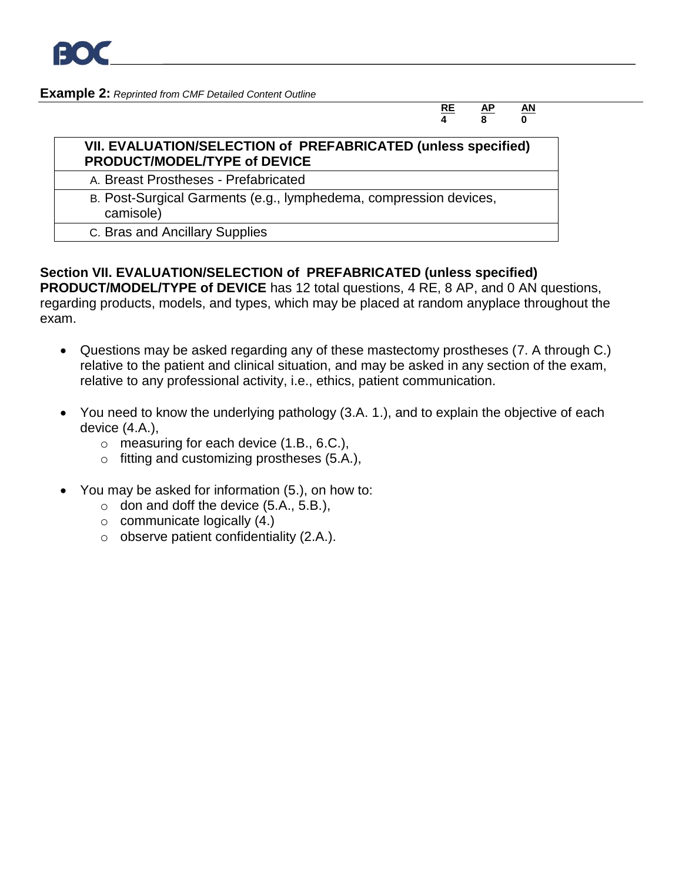

#### **Example 2:** *Reprinted from CMF Detailed Content Outline*

#### **RE AP AN 4 8 0**

#### **VII. EVALUATION/SELECTION of PREFABRICATED (unless specified) PRODUCT/MODEL/TYPE of DEVICE**

A. Breast Prostheses - Prefabricated

- B. Post-Surgical Garments (e.g., lymphedema, compression devices, camisole)
	- C. Bras and Ancillary Supplies

## **Section VII. EVALUATION/SELECTION of PREFABRICATED (unless specified)**

**PRODUCT/MODEL/TYPE of DEVICE** has 12 total questions, 4 RE, 8 AP, and 0 AN questions, regarding products, models, and types, which may be placed at random anyplace throughout the exam.

- Questions may be asked regarding any of these mastectomy prostheses (7. A through C.) relative to the patient and clinical situation, and may be asked in any section of the exam, relative to any professional activity, i.e., ethics, patient communication.
- You need to know the underlying pathology (3.A. 1.), and to explain the objective of each device (4.A.),
	- $\circ$  measuring for each device  $(1.B., 6.C.).$
	- o fitting and customizing prostheses (5.A.),
- You may be asked for information (5.), on how to:
	- $\circ$  don and doff the device (5.A., 5.B.),
	- $\circ$  communicate logically (4.)
	- $\circ$  observe patient confidentiality (2.A.).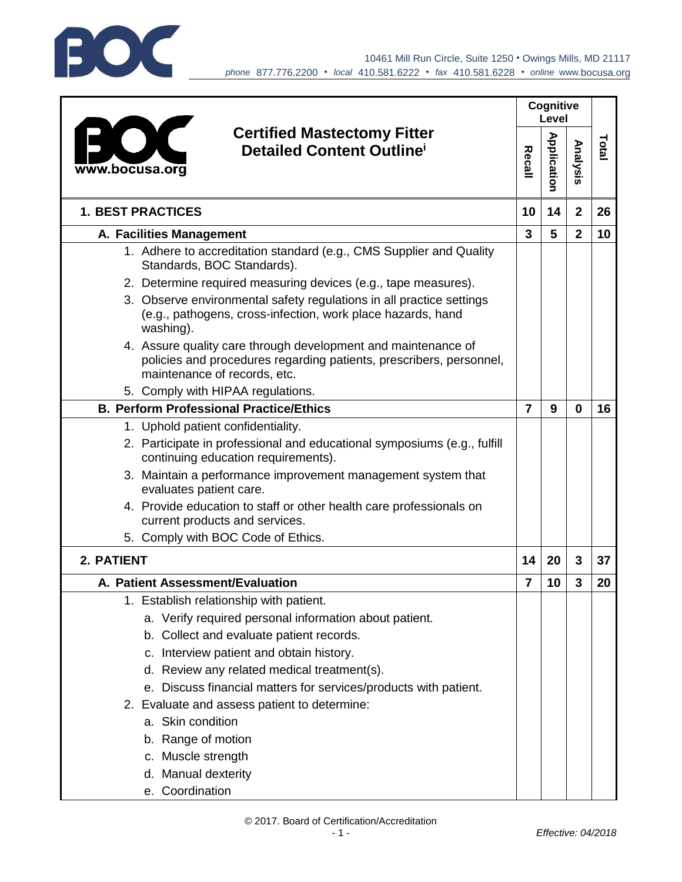

| <b>Certified Mastectomy Fitter</b><br><b>Detailed Content Outline</b><br>www.bocusa.org                                                                              |                | Cognitive<br>Level |                |       |
|----------------------------------------------------------------------------------------------------------------------------------------------------------------------|----------------|--------------------|----------------|-------|
|                                                                                                                                                                      |                | Application        | Analysis       | Total |
| <b>1. BEST PRACTICES</b>                                                                                                                                             | 10             | 14                 | $\overline{2}$ | 26    |
| A. Facilities Management                                                                                                                                             | $\mathbf{3}$   | 5                  | $\overline{2}$ | 10    |
| 1. Adhere to accreditation standard (e.g., CMS Supplier and Quality<br>Standards, BOC Standards).                                                                    |                |                    |                |       |
| 2. Determine required measuring devices (e.g., tape measures).                                                                                                       |                |                    |                |       |
| 3. Observe environmental safety regulations in all practice settings<br>(e.g., pathogens, cross-infection, work place hazards, hand<br>washing).                     |                |                    |                |       |
| 4. Assure quality care through development and maintenance of<br>policies and procedures regarding patients, prescribers, personnel,<br>maintenance of records, etc. |                |                    |                |       |
| 5. Comply with HIPAA regulations.                                                                                                                                    |                |                    |                |       |
| <b>B. Perform Professional Practice/Ethics</b>                                                                                                                       | $\overline{7}$ | 9                  | 0              | 16    |
| 1. Uphold patient confidentiality.                                                                                                                                   |                |                    |                |       |
| 2. Participate in professional and educational symposiums (e.g., fulfill<br>continuing education requirements).                                                      |                |                    |                |       |
| 3. Maintain a performance improvement management system that<br>evaluates patient care.                                                                              |                |                    |                |       |
| 4. Provide education to staff or other health care professionals on<br>current products and services.                                                                |                |                    |                |       |
| 5. Comply with BOC Code of Ethics.                                                                                                                                   |                |                    |                |       |
| 2. PATIENT                                                                                                                                                           | 14             | 20                 | 3              | 37    |
| A. Patient Assessment/Evaluation                                                                                                                                     | 7              | 10                 | 3              | 20    |
| 1. Establish relationship with patient.                                                                                                                              |                |                    |                |       |
| a. Verify required personal information about patient.                                                                                                               |                |                    |                |       |
| b. Collect and evaluate patient records.                                                                                                                             |                |                    |                |       |
| c. Interview patient and obtain history.                                                                                                                             |                |                    |                |       |
| d. Review any related medical treatment(s).                                                                                                                          |                |                    |                |       |
| e. Discuss financial matters for services/products with patient.                                                                                                     |                |                    |                |       |
| 2. Evaluate and assess patient to determine:                                                                                                                         |                |                    |                |       |
| a. Skin condition                                                                                                                                                    |                |                    |                |       |
| b. Range of motion                                                                                                                                                   |                |                    |                |       |
| c. Muscle strength                                                                                                                                                   |                |                    |                |       |
| d. Manual dexterity                                                                                                                                                  |                |                    |                |       |
| e. Coordination                                                                                                                                                      |                |                    |                |       |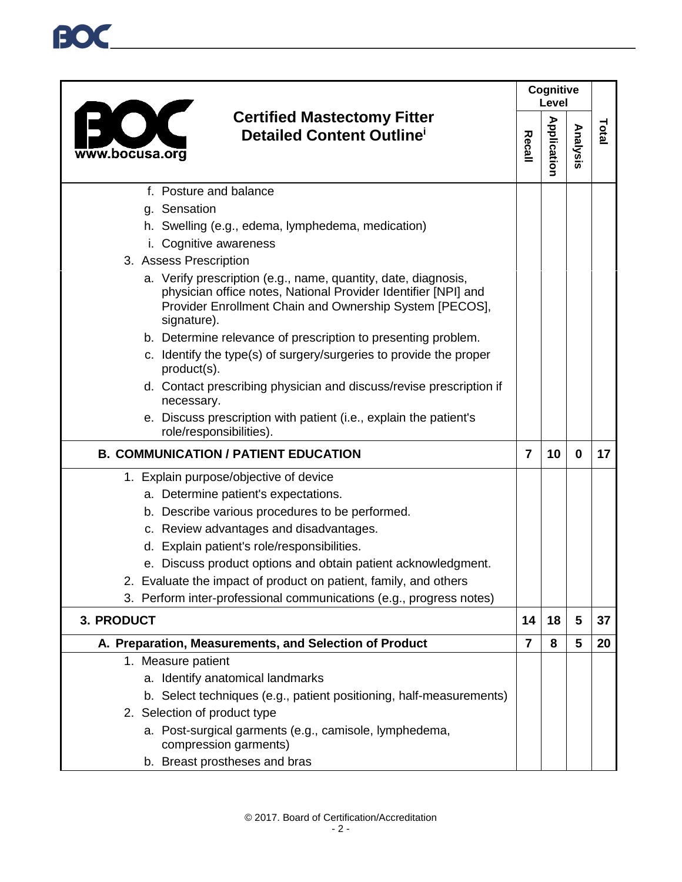## **Cognitive Level Certified Mastectomy Fitter Application Application Total Analysis Recall Detailed Content Outline<sup>i</sup>** www.bocusa.org f. Posture and balance g. Sensation h. Swelling (e.g., edema, lymphedema, medication) i. Cognitive awareness 3. Assess Prescription a. Verify prescription (e.g., name, quantity, date, diagnosis, physician office notes, National Provider Identifier [NPI] and Provider Enrollment Chain and Ownership System [PECOS], signature). b. Determine relevance of prescription to presenting problem. c. Identify the type(s) of surgery/surgeries to provide the proper product(s). d. Contact prescribing physician and discuss/revise prescription if necessary. e. Discuss prescription with patient (i.e., explain the patient's role/responsibilities). **B. COMMUNICATION / PATIENT EDUCATION 7 10 0 17** 1. Explain purpose/objective of device a. Determine patient's expectations. b. Describe various procedures to be performed. c. Review advantages and disadvantages. d. Explain patient's role/responsibilities. e. Discuss product options and obtain patient acknowledgment. 2. Evaluate the impact of product on patient, family, and others 3. Perform inter-professional communications (e.g., progress notes) **3. PRODUCT 14 18 5 37 A. Preparation, Measurements, and Selection of Product 7 8 5 20** 1. Measure patient a. Identify anatomical landmarks b. Select techniques (e.g., patient positioning, half-measurements) 2. Selection of product type a. Post-surgical garments (e.g., camisole, lymphedema, compression garments) b. Breast prostheses and bras